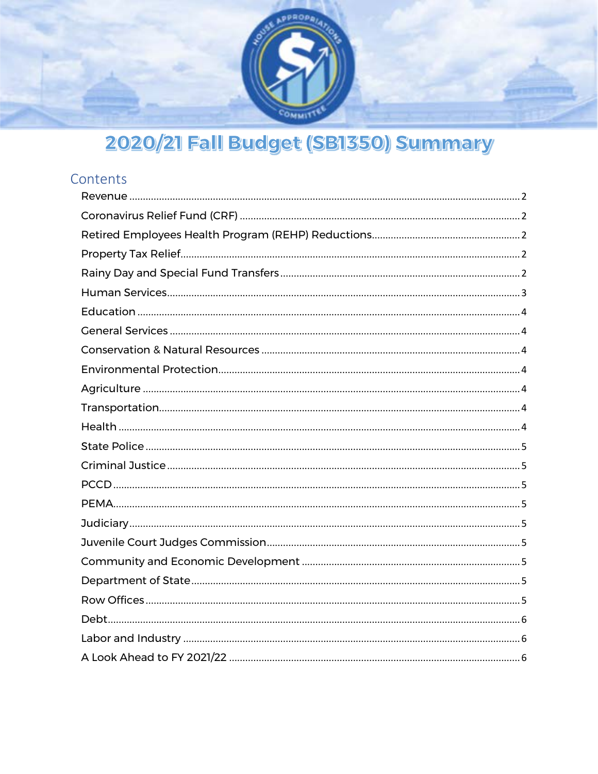

# 2020/21 Fall Budget (SB1350) Summary

# Contents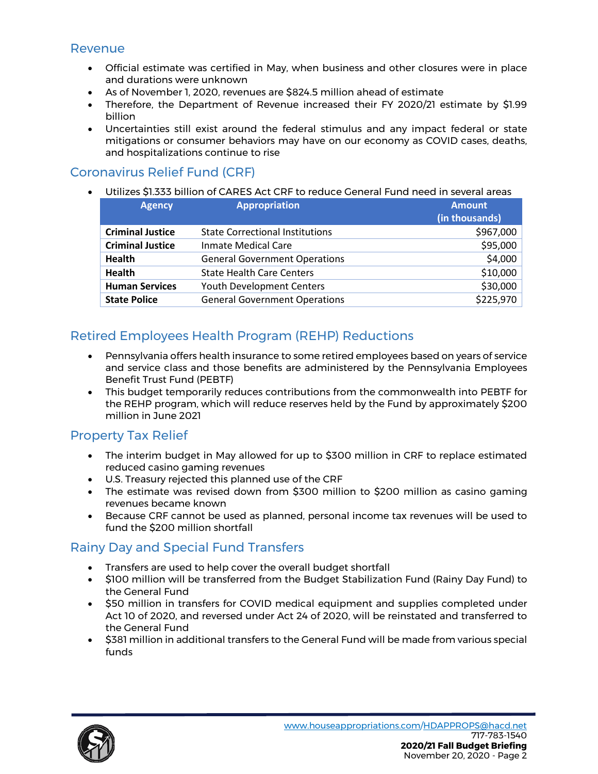#### <span id="page-1-0"></span>Revenue

- Official estimate was certified in May, when business and other closures were in place and durations were unknown
- As of November 1, 2020, revenues are \$824.5 million ahead of estimate
- Therefore, the Department of Revenue increased their FY 2020/21 estimate by \$1.99 billion
- Uncertainties still exist around the federal stimulus and any impact federal or state mitigations or consumer behaviors may have on our economy as COVID cases, deaths, and hospitalizations continue to rise

# <span id="page-1-1"></span>Coronavirus Relief Fund (CRF)

• Utilizes \$1.333 billion of CARES Act CRF to reduce General Fund need in several areas

| <b>Agency</b>           | <b>Appropriation</b>                   | <b>Amount</b><br>(in thousands) |  |  |
|-------------------------|----------------------------------------|---------------------------------|--|--|
| <b>Criminal Justice</b> | <b>State Correctional Institutions</b> | \$967,000                       |  |  |
| <b>Criminal Justice</b> | <b>Inmate Medical Care</b>             | \$95,000                        |  |  |
| <b>Health</b>           | <b>General Government Operations</b>   | \$4,000                         |  |  |
| <b>Health</b>           | <b>State Health Care Centers</b>       | \$10,000                        |  |  |
| <b>Human Services</b>   | <b>Youth Development Centers</b>       | \$30,000                        |  |  |
| <b>State Police</b>     | <b>General Government Operations</b>   | \$225,970                       |  |  |

# <span id="page-1-2"></span>Retired Employees Health Program (REHP) Reductions

- Pennsylvania offers health insurance to some retired employees based on years of service and service class and those benefits are administered by the Pennsylvania Employees Benefit Trust Fund (PEBTF)
- This budget temporarily reduces contributions from the commonwealth into PEBTF for the REHP program, which will reduce reserves held by the Fund by approximately \$200 million in June 2021

# <span id="page-1-3"></span>Property Tax Relief

- The interim budget in May allowed for up to \$300 million in CRF to replace estimated reduced casino gaming revenues
- U.S. Treasury rejected this planned use of the CRF
- The estimate was revised down from \$300 million to \$200 million as casino gaming revenues became known
- Because CRF cannot be used as planned, personal income tax revenues will be used to fund the \$200 million shortfall

# <span id="page-1-4"></span>Rainy Day and Special Fund Transfers

- Transfers are used to help cover the overall budget shortfall
- \$100 million will be transferred from the Budget Stabilization Fund (Rainy Day Fund) to the General Fund
- \$50 million in transfers for COVID medical equipment and supplies completed under Act 10 of 2020, and reversed under Act 24 of 2020, will be reinstated and transferred to the General Fund
- \$381 million in additional transfers to the General Fund will be made from various special funds

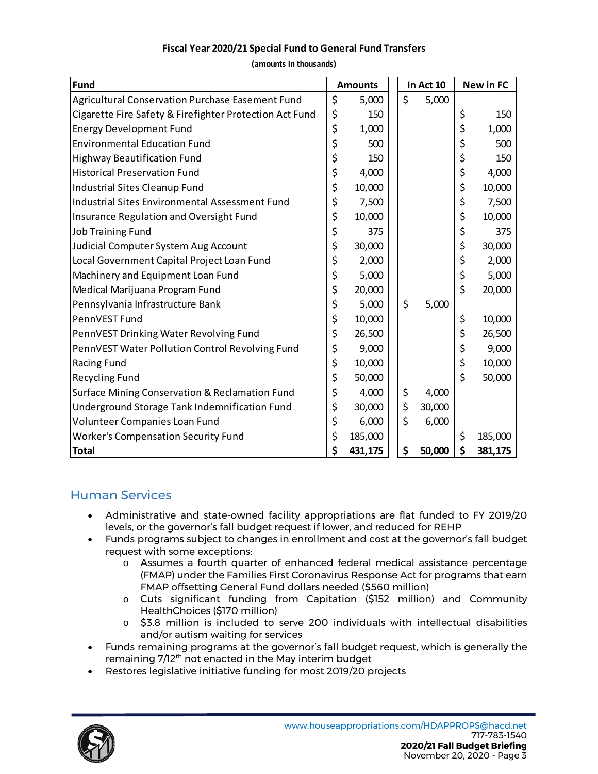#### **Fiscal Year 2020/21 Special Fund to General Fund Transfers**

**(amounts in thousands)**

| <b>Fund</b><br><b>Amounts</b>                           |    |         | In Act 10 |        | <b>New in FC</b> |         |
|---------------------------------------------------------|----|---------|-----------|--------|------------------|---------|
| Agricultural Conservation Purchase Easement Fund        | \$ | 5,000   | \$        | 5,000  |                  |         |
| Cigarette Fire Safety & Firefighter Protection Act Fund | \$ | 150     |           |        | \$               | 150     |
| <b>Energy Development Fund</b>                          | \$ | 1,000   |           |        | \$               | 1,000   |
| <b>Environmental Education Fund</b>                     | \$ | 500     |           |        | \$               | 500     |
| <b>Highway Beautification Fund</b>                      | \$ | 150     |           |        | \$               | 150     |
| <b>Historical Preservation Fund</b>                     | \$ | 4,000   |           |        | \$               | 4,000   |
| Industrial Sites Cleanup Fund                           | \$ | 10,000  |           |        | \$               | 10,000  |
| Industrial Sites Environmental Assessment Fund          | \$ | 7,500   |           |        | \$               | 7,500   |
| Insurance Regulation and Oversight Fund                 | \$ | 10,000  |           |        | \$               | 10,000  |
| <b>Job Training Fund</b>                                | \$ | 375     |           |        | \$               | 375     |
| Judicial Computer System Aug Account                    | \$ | 30,000  |           |        | \$               | 30,000  |
| Local Government Capital Project Loan Fund              | \$ | 2,000   |           |        | \$               | 2,000   |
| Machinery and Equipment Loan Fund                       | \$ | 5,000   |           |        | \$               | 5,000   |
| Medical Marijuana Program Fund                          | \$ | 20,000  |           |        | \$               | 20,000  |
| Pennsylvania Infrastructure Bank                        | \$ | 5,000   | \$        | 5,000  |                  |         |
| PennVEST Fund                                           | \$ | 10,000  |           |        | \$               | 10,000  |
| PennVEST Drinking Water Revolving Fund                  | \$ | 26,500  |           |        | \$               | 26,500  |
| PennVEST Water Pollution Control Revolving Fund         | \$ | 9,000   |           |        | \$               | 9,000   |
| Racing Fund                                             | \$ | 10,000  |           |        | \$               | 10,000  |
| <b>Recycling Fund</b>                                   | \$ | 50,000  |           |        | \$               | 50,000  |
| Surface Mining Conservation & Reclamation Fund          | \$ | 4,000   | \$        | 4,000  |                  |         |
| Underground Storage Tank Indemnification Fund           | \$ | 30,000  | \$        | 30,000 |                  |         |
| Volunteer Companies Loan Fund                           | \$ | 6,000   | \$        | 6,000  |                  |         |
| <b>Worker's Compensation Security Fund</b>              | \$ | 185,000 |           |        | \$               | 185,000 |
| <b>Total</b>                                            | \$ | 431,175 | \$        | 50,000 | \$               | 381,175 |

# <span id="page-2-0"></span>Human Services

- Administrative and state-owned facility appropriations are flat funded to FY 2019/20 levels, or the governor's fall budget request if lower, and reduced for REHP
- Funds programs subject to changes in enrollment and cost at the governor's fall budget request with some exceptions:
	- o Assumes a fourth quarter of enhanced federal medical assistance percentage (FMAP) under the Families First Coronavirus Response Act for programs that earn FMAP offsetting General Fund dollars needed (\$560 million)
	- o Cuts significant funding from Capitation (\$152 million) and Community HealthChoices (\$170 million)
	- $\circ$  \$3.8 million is included to serve 200 individuals with intellectual disabilities and/or autism waiting for services
- Funds remaining programs at the governor's fall budget request, which is generally the remaining 7/12th not enacted in the May interim budget
- Restores legislative initiative funding for most 2019/20 projects

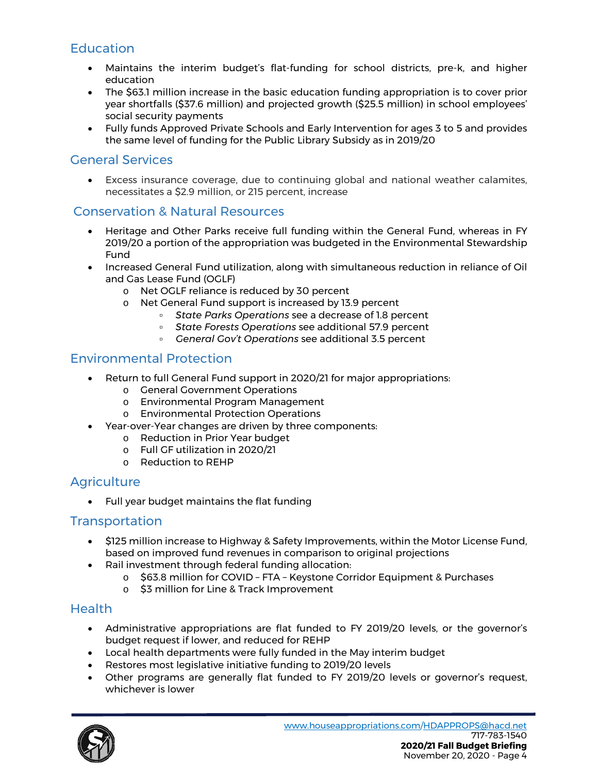# <span id="page-3-0"></span>**Education**

- Maintains the interim budget's flat-funding for school districts, pre-k, and higher education
- The \$63.1 million increase in the basic education funding appropriation is to cover prior year shortfalls (\$37.6 million) and projected growth (\$25.5 million) in school employees' social security payments
- Fully funds Approved Private Schools and Early Intervention for ages 3 to 5 and provides the same level of funding for the Public Library Subsidy as in 2019/20

#### <span id="page-3-1"></span>General Services

• Excess insurance coverage, due to continuing global and national weather calamites, necessitates a \$2.9 million, or 215 percent, increase

#### <span id="page-3-2"></span>Conservation & Natural Resources

- Heritage and Other Parks receive full funding within the General Fund, whereas in FY 2019/20 a portion of the appropriation was budgeted in the Environmental Stewardship Fund
- Increased General Fund utilization, along with simultaneous reduction in reliance of Oil and Gas Lease Fund (OGLF)
	- o Net OGLF reliance is reduced by 30 percent<br>
	o Net General Fund support is increased by 13
		- Net General Fund support is increased by 13.9 percent
			- *State Parks Operations* see a decrease of 1.8 percent
			- *State Forests Operations* see additional 57.9 percent
			- *General Gov't Operations* see additional 3.5 percent

#### <span id="page-3-3"></span>Environmental Protection

- Return to full General Fund support in 2020/21 for major appropriations:
	- o General Government Operations
	- o Environmental Program Management
	- o Environmental Protection Operations
- Year-over-Year changes are driven by three components:
	- o Reduction in Prior Year budget
	- o Full GF utilization in 2020/21
	- o Reduction to REHP

#### <span id="page-3-4"></span>**Agriculture**

• Full year budget maintains the flat funding

#### <span id="page-3-5"></span>**Transportation**

- \$125 million increase to Highway & Safety Improvements, within the Motor License Fund, based on improved fund revenues in comparison to original projections
- Rail investment through federal funding allocation:
	- o \$63.8 million for COVID FTA Keystone Corridor Equipment & Purchases
		- o \$3 million for Line & Track Improvement

#### <span id="page-3-6"></span>**Health**

- Administrative appropriations are flat funded to FY 2019/20 levels, or the governor's budget request if lower, and reduced for REHP
- Local health departments were fully funded in the May interim budget
- Restores most legislative initiative funding to 2019/20 levels
- Other programs are generally flat funded to FY 2019/20 levels or governor's request, whichever is lower

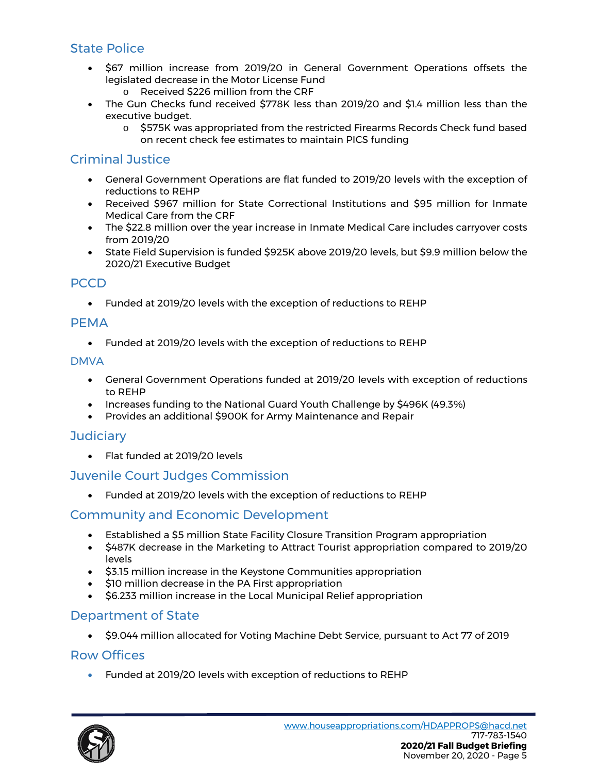# <span id="page-4-0"></span>State Police

- \$67 million increase from 2019/20 in General Government Operations offsets the legislated decrease in the Motor License Fund
	- o Received \$226 million from the CRF
- The Gun Checks fund received \$778K less than 2019/20 and \$1.4 million less than the executive budget.
	- o \$575K was appropriated from the restricted Firearms Records Check fund based on recent check fee estimates to maintain PICS funding

# <span id="page-4-1"></span>Criminal Justice

- General Government Operations are flat funded to 2019/20 levels with the exception of reductions to REHP
- Received \$967 million for State Correctional Institutions and \$95 million for Inmate Medical Care from the CRF
- The \$22.8 million over the year increase in Inmate Medical Care includes carryover costs from 2019/20
- State Field Supervision is funded \$925K above 2019/20 levels, but \$9.9 million below the 2020/21 Executive Budget

#### <span id="page-4-2"></span>PCCD

• Funded at 2019/20 levels with the exception of reductions to REHP

#### <span id="page-4-3"></span>PEMA

• Funded at 2019/20 levels with the exception of reductions to REHP

#### DMVA

- General Government Operations funded at 2019/20 levels with exception of reductions to REHP
- Increases funding to the National Guard Youth Challenge by \$496K (49.3%)
- Provides an additional \$900K for Army Maintenance and Repair

#### <span id="page-4-4"></span>**Judiciary**

• Flat funded at 2019/20 levels

# <span id="page-4-5"></span>Juvenile Court Judges Commission

• Funded at 2019/20 levels with the exception of reductions to REHP

# <span id="page-4-6"></span>Community and Economic Development

- Established a \$5 million State Facility Closure Transition Program appropriation
- \$487K decrease in the Marketing to Attract Tourist appropriation compared to 2019/20 levels
- \$3.15 million increase in the Keystone Communities appropriation
- \$10 million decrease in the PA First appropriation
- \$6.233 million increase in the Local Municipal Relief appropriation

#### <span id="page-4-7"></span>Department of State

• \$9.044 million allocated for Voting Machine Debt Service, pursuant to Act 77 of 2019

#### <span id="page-4-8"></span>Row Offices

• Funded at 2019/20 levels with exception of reductions to REHP